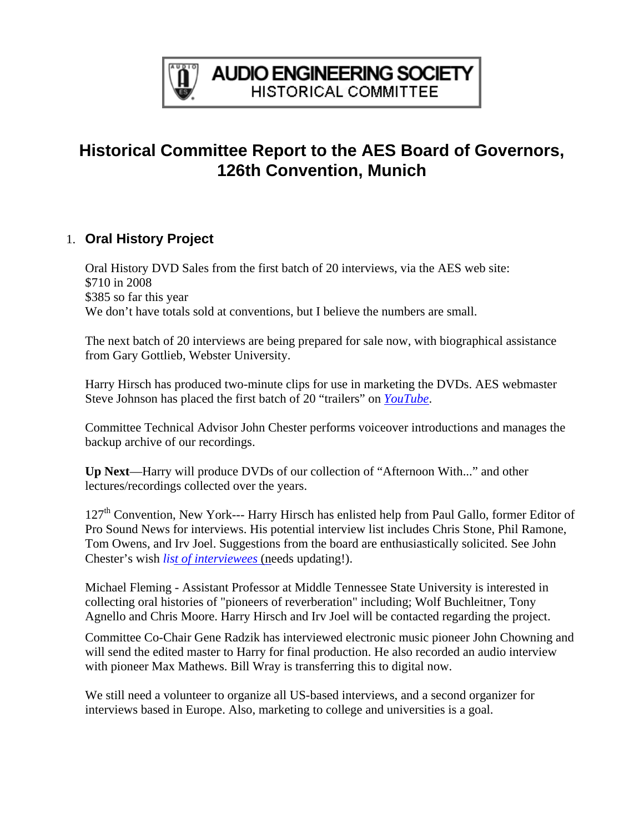

## **Historical Committee Report to the AES Board of Governors, 126th Convention, Munich**

## 1. **Oral History Project**

Oral History DVD Sales from the first batch of 20 interviews, via the AES web site: \$710 in 2008 \$385 so far this year We don't have totals sold at conventions, but I believe the numbers are small.

The next batch of 20 interviews are being prepared for sale now, with biographical assistance from Gary Gottlieb, Webster University.

Harry Hirsch has produced two-minute clips for use in marketing the DVDs. AES webmaster Steve Johnson has placed the first batch of 20 "trailers" on *[YouTube](http://uk.youtube.com/profile_videos?user=AESorg)*.

Committee Technical Advisor John Chester performs voiceover introductions and manages the backup archive of our recordings.

**Up Next**—Harry will produce DVDs of our collection of "Afternoon With..." and other lectures/recordings collected over the years.

127<sup>th</sup> Convention, New York--- Harry Hirsch has enlisted help from Paul Gallo, former Editor of Pro Sound News for interviews. His potential interview list includes Chris Stone, Phil Ramone, Tom Owens, and Irv Joel. Suggestions from the board are enthusiastically solicited. See John Chester's wish *li[st of interviewees](http://www.aes.org/aeshc/docs/oralhist/interview.master.pub.040927a.pdf)* (needs updating!).

Michael Fleming - Assistant Professor at Middle Tennessee State University is interested in collecting oral histories of "pioneers of reverberation" including; Wolf Buchleitner, Tony Agnello and Chris Moore. Harry Hirsch and Irv Joel will be contacted regarding the project.

Committee Co-Chair Gene Radzik has interviewed electronic music pioneer John Chowning and will send the edited master to Harry for final production. He also recorded an audio interview with pioneer Max Mathews. Bill Wray is transferring this to digital now.

We still need a volunteer to organize all US-based interviews, and a second organizer for interviews based in Europe. Also, marketing to college and universities is a goal.